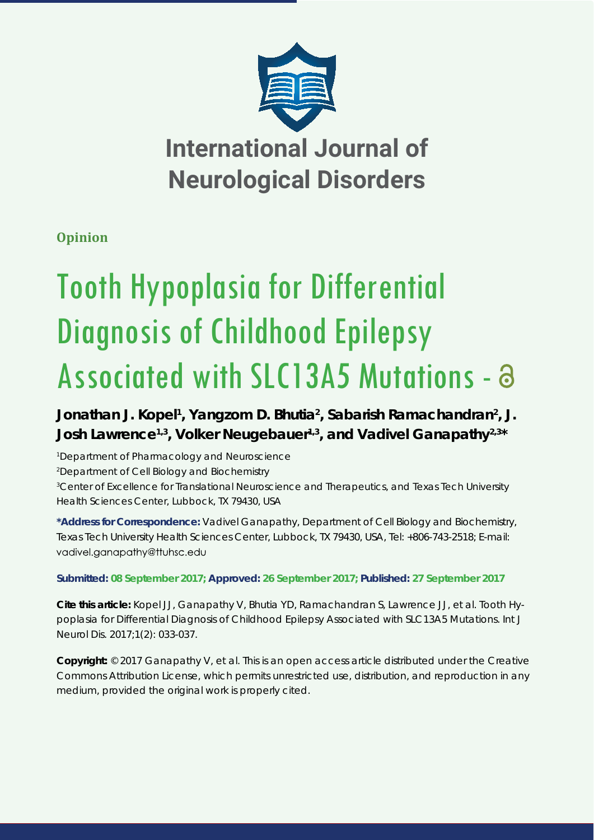

## **Opinion**

# Tooth Hypoplasia for Differential Diagnosis of Childhood Epilepsy Associated with SLC13A5 Mutations - a

Jonathan J. Kopel<sup>1</sup>, Yangzom D. Bhutia<sup>2</sup>, Sabarish Ramachandran<sup>2</sup>, J. **Josh Lawrence1,3, Volker Neugebauer1,3, and Vadivel Ganapathy2,3\***

 *Department of Pharmacology and Neuroscience Department of Cell Biology and Biochemistry Center of Excellence for Translational Neuroscience and Therapeutics, and Texas Tech University Health Sciences Center, Lubbock, TX 79430, USA*

**\*Address for Correspondence:** Vadivel Ganapathy, Department of Cell Biology and Biochemistry, Texas Tech University Health Sciences Center, Lubbock, TX 79430, USA, Tel: +806-743-2518; E-mail: vadivel.ganapathy@ttuhsc.edu

### **Submitted: 08 September 2017; Approved: 26 September 2017; Published: 27 September 2017**

**Cite this article:** Kopel JJ, Ganapathy V, Bhutia YD, Ramachandran S, Lawrence JJ, et al. Tooth Hypoplasia for Differential Diagnosis of Childhood Epilepsy Associated with SLC13A5 Mutations. Int J Neurol Dis. 2017;1(2): 033-037.

**Copyright:** © 2017 Ganapathy V, et al. This is an open access article distributed under the Creative Commons Attribution License, which permits unrestricted use, distribution, and reproduction in any medium, provided the original work is properly cited.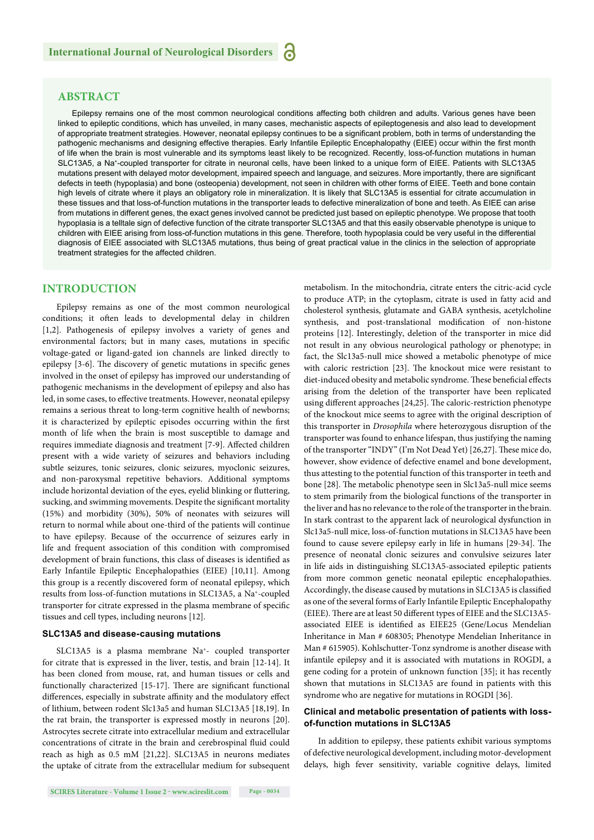#### **ABSTRACT**

Epilepsy remains one of the most common neurological conditions affecting both children and adults. Various genes have been linked to epileptic conditions, which has unveiled, in many cases, mechanistic aspects of epileptogenesis and also lead to development of appropriate treatment strategies. However, neonatal epilepsy continues to be a significant problem, both in terms of understanding the pathogenic mechanisms and designing effective therapies. Early Infantile Epileptic Encephalopathy (EIEE) occur within the first month of life when the brain is most vulnerable and its symptoms least likely to be recognized. Recently, loss-of-function mutations in human SLC13A5, a Na+-coupled transporter for citrate in neuronal cells, have been linked to a unique form of EIEE. Patients with SLC13A5 mutations present with delayed motor development, impaired speech and language, and seizures. More importantly, there are significant defects in teeth (hypoplasia) and bone (osteopenia) development, not seen in children with other forms of EIEE. Teeth and bone contain high levels of citrate where it plays an obligatory role in mineralization. It is likely that SLC13A5 is essential for citrate accumulation in these tissues and that loss-of-function mutations in the transporter leads to defective mineralization of bone and teeth. As EIEE can arise from mutations in different genes, the exact genes involved cannot be predicted just based on epileptic phenotype. We propose that tooth hypoplasia is a telltale sign of defective function of the citrate transporter SLC13A5 and that this easily observable phenotype is unique to children with EIEE arising from loss-of-function mutations in this gene. Therefore, tooth hypoplasia could be very useful in the differential diagnosis of EIEE associated with SLC13A5 mutations, thus being of great practical value in the clinics in the selection of appropriate treatment strategies for the affected children.

#### **INTRODUCTION**

Epilepsy remains as one of the most common neurological conditions; it often leads to developmental delay in children [1,2]. Pathogenesis of epilepsy involves a variety of genes and environmental factors; but in many cases, mutations in specific voltage-gated or ligand-gated ion channels are linked directly to epilepsy [3-6]. The discovery of genetic mutations in specific genes involved in the onset of epilepsy has improved our understanding of pathogenic mechanisms in the development of epilepsy and also has led, in some cases, to effective treatments. However, neonatal epilepsy remains a serious threat to long-term cognitive health of newborns; it is characterized by epileptic episodes occurring within the first month of life when the brain is most susceptible to damage and requires immediate diagnosis and treatment [7-9]. Affected children present with a wide variety of seizures and behaviors including subtle seizures, tonic seizures, clonic seizures, myoclonic seizures, and non-paroxysmal repetitive behaviors. Additional symptoms include horizontal deviation of the eyes, eyelid blinking or fluttering, sucking, and swimming movements. Despite the significant mortality (15%) and morbidity (30%), 50% of neonates with seizures will return to normal while about one-third of the patients will continue to have epilepsy. Because of the occurrence of seizures early in life and frequent association of this condition with compromised development of brain functions, this class of diseases is identified as Early Infantile Epileptic Encephalopathies (EIEE) [10,11]. Among this group is a recently discovered form of neonatal epilepsy, which results from loss-of-function mutations in SLC13A5, a Na+-coupled transporter for citrate expressed in the plasma membrane of specific tissues and cell types, including neurons [12].

#### **SLC13A5 and disease-causing mutations**

SLC13A5 is a plasma membrane Na+- coupled transporter for citrate that is expressed in the liver, testis, and brain [12-14]. It has been cloned from mouse, rat, and human tissues or cells and functionally characterized [15-17]. There are significant functional differences, especially in substrate affinity and the modulatory effect of lithium, between rodent Slc13a5 and human SLC13A5 [18,19]. In the rat brain, the transporter is expressed mostly in neurons [20]. Astrocytes secrete citrate into extracellular medium and extracellular concentrations of citrate in the brain and cerebrospinal fluid could reach as high as 0.5 mM [21,22]. SLC13A5 in neurons mediates the uptake of citrate from the extracellular medium for subsequent

metabolism. In the mitochondria, citrate enters the citric-acid cycle to produce ATP; in the cytoplasm, citrate is used in fatty acid and cholesterol synthesis, glutamate and GABA synthesis, acetylcholine synthesis, and post-translational modification of non-histone proteins [12]. Interestingly, deletion of the transporter in mice did not result in any obvious neurological pathology or phenotype; in fact, the Slc13a5-null mice showed a metabolic phenotype of mice with caloric restriction  $[23]$ . The knockout mice were resistant to diet-induced obesity and metabolic syndrome. These beneficial effects arising from the deletion of the transporter have been replicated using different approaches [24,25]. The caloric-restriction phenotype of the knockout mice seems to agree with the original description of this transporter in *Drosophila* where heterozygous disruption of the transporter was found to enhance lifespan, thus justifying the naming of the transporter "INDY" (I'm Not Dead Yet) [26,27]. These mice do, however, show evidence of defective enamel and bone development, thus attesting to the potential function of this transporter in teeth and bone [28]. The metabolic phenotype seen in Slc13a5-null mice seems to stem primarily from the biological functions of the transporter in the liver and has no relevance to the role of the transporter in the brain. In stark contrast to the apparent lack of neurological dysfunction in Slc13a5-null mice, loss-of-function mutations in SLC13A5 have been found to cause severe epilepsy early in life in humans [29-34]. The presence of neonatal clonic seizures and convulsive seizures later in life aids in distinguishing SLC13A5-associated epileptic patients from more common genetic neonatal epileptic encephalopathies. Accordingly, the disease caused by mutations in SLC13A5 is classified as one of the several forms of Early Infantile Epileptic Encephalopathy (EIEE). There are at least 50 different types of EIEE and the SLC13A5associated EIEE is identified as EIEE25 (Gene/Locus Mendelian Inheritance in Man # 608305; Phenotype Mendelian Inheritance in Man # 615905). Kohlschutter-Tonz syndrome is another disease with infantile epilepsy and it is associated with mutations in ROGDI, a gene coding for a protein of unknown function [35]; it has recently shown that mutations in SLC13A5 are found in patients with this syndrome who are negative for mutations in ROGDI [36].

#### **Clinical and metabolic presentation of patients with lossof-function mutations in SLC13A5**

In addition to epilepsy, these patients exhibit various symptoms of defective neurological development, including motor-development delays, high fever sensitivity, variable cognitive delays, limited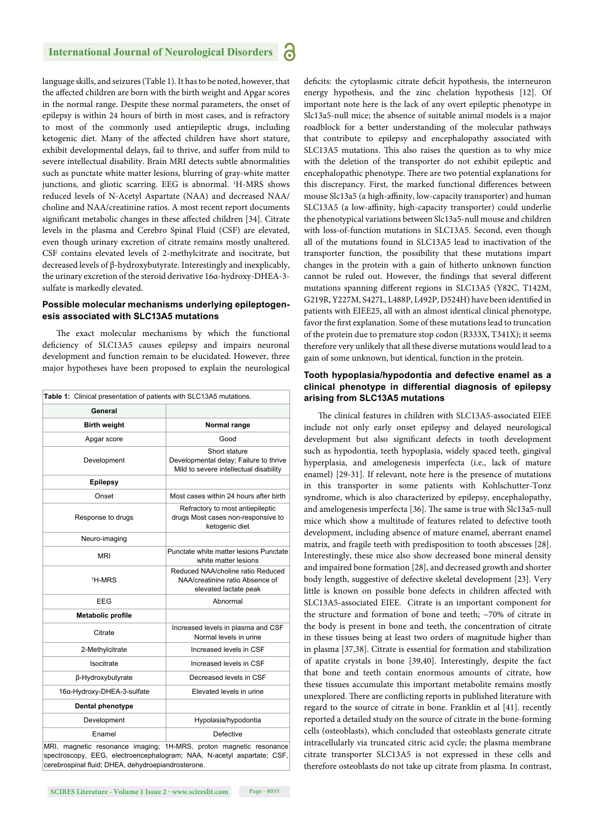#### **International Journal of Neurological Disorders**

language skills, and seizures (Table 1). It has to be noted, however, that the affected children are born with the birth weight and Apgar scores in the normal range. Despite these normal parameters, the onset of epilepsy is within 24 hours of birth in most cases, and is refractory to most of the commonly used antiepileptic drugs, including ketogenic diet. Many of the affected children have short stature, exhibit developmental delays, fail to thrive, and suffer from mild to severe intellectual disability. Brain MRI detects subtle abnormalities such as punctate white matter lesions, blurring of gray-white matter junctions, and gliotic scarring. EEG is abnormal. 1 H-MRS shows reduced levels of N-Acetyl Aspartate (NAA) and decreased NAA/ choline and NAA/creatinine ratios. A most recent report documents significant metabolic changes in these affected children [34]. Citrate levels in the plasma and Cerebro Spinal Fluid (CSF) are elevated, even though urinary excretion of citrate remains mostly unaltered. CSF contains elevated levels of 2-methylcitrate and isocitrate, but decreased levels of β-hydroxybutyrate. Interestingly and inexplicably, the urinary excretion of the steroid derivative 16α-hydroxy-DHEA-3 sulfate is markedly elevated.

#### **Possible molecular mechanisms underlying epileptogenesis associated with SLC13A5 mutations**

The exact molecular mechanisms by which the functional deficiency of SLC13A5 causes epilepsy and impairs neuronal development and function remain to be elucidated. However, three major hypotheses have been proposed to explain the neurological

| Table 1: Clinical presentation of patients with SLC13A5 mutations. |                                                                                                   |
|--------------------------------------------------------------------|---------------------------------------------------------------------------------------------------|
| General                                                            |                                                                                                   |
| <b>Birth weight</b>                                                | Normal range                                                                                      |
| Apgar score                                                        | Good                                                                                              |
| Development                                                        | Short stature<br>Developmental delay; Failure to thrive<br>Mild to severe intellectual disability |
| <b>Epilepsy</b>                                                    |                                                                                                   |
| Onset                                                              | Most cases within 24 hours after birth                                                            |
| Response to drugs                                                  | Refractory to most antiepileptic<br>drugs Most cases non-responsive to<br>ketogenic diet          |
| Neuro-imaging                                                      |                                                                                                   |
| <b>MRI</b>                                                         | Punctate white matter lesions Punctate<br>white matter lesions                                    |
| <sup>1</sup> H-MRS                                                 | Reduced NAA/choline ratio Reduced<br>NAA/creatinine ratio Absence of<br>elevated lactate peak     |
| EEG                                                                | Abnormal                                                                                          |
| <b>Metabolic profile</b>                                           |                                                                                                   |
| Citrate                                                            | Increased levels in plasma and CSF<br>Normal levels in urine                                      |
| 2-Methylcitrate                                                    | Increased levels in CSF                                                                           |
| Isocitrate                                                         | Increased levels in CSF                                                                           |
| β-Hydroxybutyrate                                                  | Decreased levels in CSF                                                                           |
| 16α-Hydroxy-DHEA-3-sulfate                                         | Elevated levels in urine                                                                          |
| Dental phenotype                                                   |                                                                                                   |
| Development                                                        | Hypolasia/hypodontia                                                                              |
| Enamel                                                             | Defective                                                                                         |
| $-4111100$<br><b>MDI</b>                                           |                                                                                                   |

MRI, magnetic resonance imaging; 1H-MRS, proton magnetic resonance spectroscopy, EEG, electroencephalogram; NAA, N-acetyl aspartate; CSF cerebrospinal fluid; DHEA, dehydroepiandrosterone.

**SCIRES Literature - Volume 1 Issue 2 - www.scireslit.com Page - 0035**

deficits: the cytoplasmic citrate deficit hypothesis, the interneuron energy hypothesis, and the zinc chelation hypothesis [12]. Of important note here is the lack of any overt epileptic phenotype in Slc13a5-null mice; the absence of suitable animal models is a major roadblock for a better understanding of the molecular pathways that contribute to epilepsy and encephalopathy associated with SLC13A5 mutations. This also raises the question as to why mice with the deletion of the transporter do not exhibit epileptic and encephalopathic phenotype. There are two potential explanations for this discrepancy. First, the marked functional differences between mouse Slc13a5 (a high-affinity, low-capacity transporter) and human SLC13A5 (a low-affinity, high-capacity transporter) could underlie the phenotypical variations between Slc13a5-null mouse and children with loss-of-function mutations in SLC13A5. Second, even though all of the mutations found in SLC13A5 lead to inactivation of the transporter function, the possibility that these mutations impart changes in the protein with a gain of hitherto unknown function cannot be ruled out. However, the findings that several different mutations spanning different regions in SLC13A5 (Y82C, T142M, G219R, Y227M, S427L, L488P, L492P, D524H) have been identified in patients with EIEE25, all with an almost identical clinical phenotype, favor the first explanation. Some of these mutations lead to truncation of the protein due to premature stop codon (R333X, T341X); it seems therefore very unlikely that all these diverse mutations would lead to a gain of some unknown, but identical, function in the protein.

#### **Tooth hypoplasia/hypodontia and defective enamel as a clinical phenotype in differential diagnosis of epilepsy arising from SLC13A5 mutations**

The clinical features in children with SLC13A5-associated EIEE include not only early onset epilepsy and delayed neurological development but also significant defects in tooth development such as hypodontia, teeth hypoplasia, widely spaced teeth, gingival hyperplasia, and amelogenesis imperfecta (i.e., lack of mature enamel) [29-31]. If relevant, note here is the presence of mutations in this transporter in some patients with Kohlschutter-Tonz syndrome, which is also characterized by epilepsy, encephalopathy, and amelogenesis imperfecta [36]. The same is true with Slc13a5-null mice which show a multitude of features related to defective tooth development, including absence of mature enamel, aberrant enamel matrix, and fragile teeth with predisposition to tooth abscesses [28]. Interestingly, these mice also show decreased bone mineral density and impaired bone formation [28], and decreased growth and shorter body length, suggestive of defective skeletal development [23]. Very little is known on possible bone defects in children affected with SLC13A5-associated EIEE. Citrate is an important component for the structure and formation of bone and teeth; ~70% of citrate in the body is present in bone and teeth, the concentration of citrate in these tissues being at least two orders of magnitude higher than in plasma [37,38]. Citrate is essential for formation and stabilization of apatite crystals in bone [39,40]. Interestingly, despite the fact that bone and teeth contain enormous amounts of citrate, how these tissues accumulate this important metabolite remains mostly unexplored. There are conflicting reports in published literature with regard to the source of citrate in bone. Franklin et al [41]. recently reported a detailed study on the source of citrate in the bone-forming cells (osteoblasts), which concluded that osteoblasts generate citrate intracellularly via truncated citric acid cycle; the plasma membrane citrate transporter SLC13A5 is not expressed in these cells and therefore osteoblasts do not take up citrate from plasma. In contrast,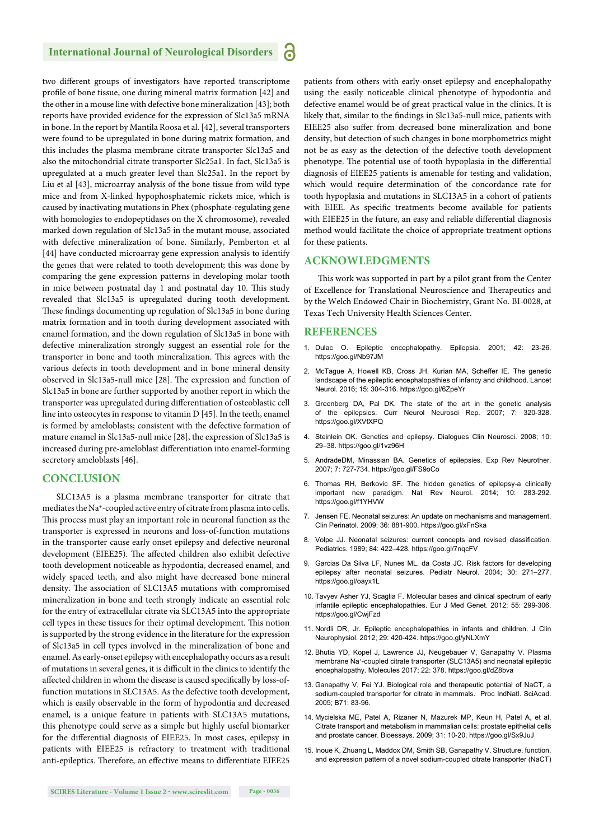#### **International Journal of Neurological Disorders**

two different groups of investigators have reported transcriptome profile of bone tissue, one during mineral matrix formation [42] and the other in a mouse line with defective bone mineralization [43]; both reports have provided evidence for the expression of Slc13a5 mRNA in bone. In the report by Mantila Roosa et al. [42], several transporters were found to be upregulated in bone during matrix formation, and this includes the plasma membrane citrate transporter Slc13a5 and also the mitochondrial citrate transporter Slc25a1. In fact, Slc13a5 is upregulated at a much greater level than Slc25a1. In the report by Liu et al [43], microarray analysis of the bone tissue from wild type mice and from X-linked hypophosphatemic rickets mice, which is caused by inactivating mutations in Phex (phosphate-regulating gene with homologies to endopeptidases on the X chromosome), revealed marked down regulation of Slc13a5 in the mutant mouse, associated with defective mineralization of bone. Similarly, Pemberton et al [44] have conducted microarray gene expression analysis to identify the genes that were related to tooth development; this was done by comparing the gene expression patterns in developing molar tooth in mice between postnatal day 1 and postnatal day 10. This study revealed that Slc13a5 is upregulated during tooth development. These findings documenting up regulation of Slc13a5 in bone during matrix formation and in tooth during development associated with enamel formation, and the down regulation of Slc13a5 in bone with defective mineralization strongly suggest an essential role for the transporter in bone and tooth mineralization. This agrees with the various defects in tooth development and in bone mineral density observed in Slc13a5-null mice [28]. The expression and function of Slc13a5 in bone are further supported by another report in which the transporter was upregulated during differentiation of osteoblastic cell line into osteocytes in response to vitamin D [45]. In the teeth, enamel is formed by ameloblasts; consistent with the defective formation of mature enamel in Slc13a5-null mice [28], the expression of Slc13a5 is increased during pre-ameloblast differentiation into enamel-forming secretory ameloblasts [46].

#### **CONCLUSION**

SLC13A5 is a plasma membrane transporter for citrate that mediates the Na+-coupled active entry of citrate from plasma into cells. This process must play an important role in neuronal function as the transporter is expressed in neurons and loss-of-function mutations in the transporter cause early onset epilepsy and defective neuronal development (EIEE25). The affected children also exhibit defective tooth development noticeable as hypodontia, decreased enamel, and widely spaced teeth, and also might have decreased bone mineral density. The association of SLC13A5 mutations with compromised mineralization in bone and teeth strongly indicate an essential role for the entry of extracellular citrate via SLC13A5 into the appropriate cell types in these tissues for their optimal development. This notion is supported by the strong evidence in the literature for the expression of Slc13a5 in cell types involved in the mineralization of bone and enamel. As early-onset epilepsy with encephalopathy occurs as a result of mutations in several genes, it is difficult in the clinics to identify the affected children in whom the disease is caused specifically by loss-offunction mutations in SLC13A5. As the defective tooth development, which is easily observable in the form of hypodontia and decreased enamel, is a unique feature in patients with SLC13A5 mutations, this phenotype could serve as a simple but highly useful biomarker for the differential diagnosis of EIEE25. In most cases, epilepsy in patients with EIEE25 is refractory to treatment with traditional anti-epileptics. Therefore, an effective means to differentiate EIEE25 patients from others with early-onset epilepsy and encephalopathy using the easily noticeable clinical phenotype of hypodontia and defective enamel would be of great practical value in the clinics. It is likely that, similar to the findings in Slc13a5-null mice, patients with EIEE25 also suffer from decreased bone mineralization and bone density, but detection of such changes in bone morphometrics might not be as easy as the detection of the defective tooth development phenotype. The potential use of tooth hypoplasia in the differential diagnosis of EIEE25 patients is amenable for testing and validation, which would require determination of the concordance rate for tooth hypoplasia and mutations in SLC13A5 in a cohort of patients with EIEE. As specific treatments become available for patients with EIEE25 in the future, an easy and reliable differential diagnosis method would facilitate the choice of appropriate treatment options for these patients.

#### **ACKNOWLEDGMENTS**

This work was supported in part by a pilot grant from the Center of Excellence for Translational Neuroscience and Therapeutics and by the Welch Endowed Chair in Biochemistry, Grant No. BI-0028, at Texas Tech University Health Sciences Center.

#### **REFERENCES**

- 1. Dulac O. Epileptic encephalopathy. Epilepsia. 2001; 42: 23-26. https://goo.gl/Nb97JM
- 2. McTague A, Howell KB, Cross JH, Kurian MA, Scheffer IE. The genetic landscape of the epileptic encephalopathies of infancy and childhood. Lancet Neurol. 2016; 15: 304-316. https://goo.gl/6ZpeYr
- 3. Greenberg DA, Pal DK. The state of the art in the genetic analysis of the epilepsies. Curr Neurol Neurosci Rep. 2007; 7: 320-328. https://goo.gl/XVfXPQ
- 4. Steinlein OK. Genetics and epilepsy. Dialogues Clin Neurosci. 2008; 10: 29–38. https://goo.gl/1vz96H
- 5. AndradeDM, Minassian BA. Genetics of epilepsies. Exp Rev Neurother. 2007; 7: 727-734. https://goo.gl/FS9oCo
- 6. Thomas RH, Berkovic SF. The hidden genetics of epilepsy-a clinically important new paradigm. Nat Rev Neurol. 2014; 10: 283-292. https://goo.gl/f1YHVW
- 7. Jensen FE. Neonatal seizures: An update on mechanisms and management. Clin Perinatol. 2009; 36: 881-900. https://goo.gl/xFnSka
- 8. Volpe JJ. Neonatal seizures: current concepts and revised classification. Pediatrics. 1989; 84: 422–428. https://goo.gl/7nqcFV
- 9. Garcias Da Silva LF, Nunes ML, da Costa JC. Risk factors for developing epilepsy after neonatal seizures. Pediatr Neurol. 2004; 30: 271–277. https://goo.gl/oayx1L
- 10. Tavyev Asher YJ, Scaglia F. Molecular bases and clinical spectrum of early infantile epileptic encephalopathies. Eur J Med Genet. 2012; 55: 299-306. https://goo.gl/CwiFzd
- 11. Nordli DR, Jr. Epileptic encephalopathies in infants and children. J Clin Neurophysiol. 2012; 29: 420-424. https://goo.gl/yNLXmY
- 12. Bhutia YD, Kopel J, Lawrence JJ, Neugebauer V, Ganapathy V. Plasma membrane Na+-coupled citrate transporter (SLC13A5) and neonatal epileptic encephalopathy. Molecules 2017; 22: 378. https://goo.gl/dZ8bva
- 13. Ganapathy V, Fei YJ. Biological role and therapeutic potential of NaCT, a sodium-coupled transporter for citrate in mammals. Proc IndNatl. SciAcad. 2005; B71: 83-96.
- 14. Mycielska ME, Patel A, Rizaner N, Mazurek MP, Keun H, Patel A, et al. Citrate transport and metabolism in mammalian cells: prostate epithelial cells and prostate cancer. Bioessays. 2009; 31: 10-20. https://goo.gl/Sx9JuJ
- 15. Inoue K, Zhuang L, Maddox DM, Smith SB, Ganapathy V. Structure, function, and expression pattern of a novel sodium-coupled citrate transporter (NaCT)